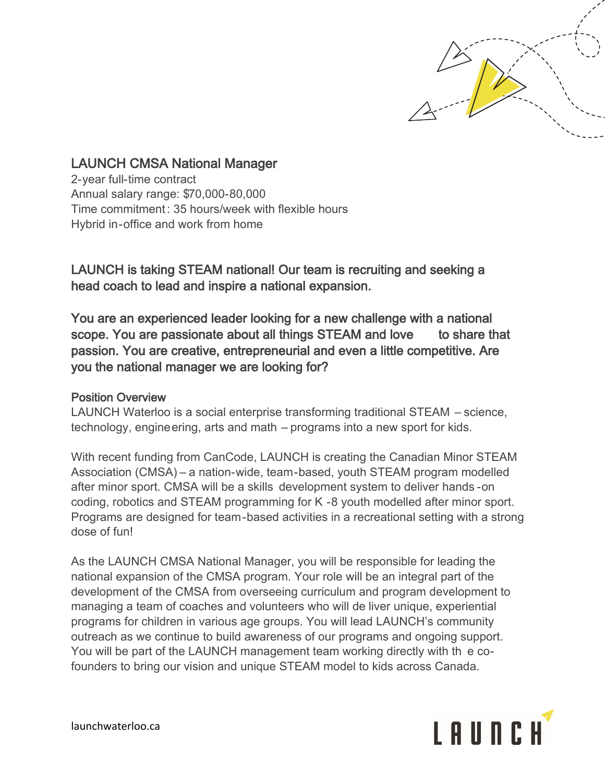

## LAUNCH CMSA National Manager

2-year full-time contract Annual salary range: \$70,000-80,000 Time commitment: 35 hours/week with flexible hours Hybrid in-office and work from home

LAUNCH is taking STEAM national! Our team is recruiting and seeking a head coach to lead and inspire a national expansion.

You are an experienced leader looking for a new challenge with a national scope. You are passionate about all things STEAM and love to share that passion. You are creative, entrepreneurial and even a little competitive. Are you the national manager we are looking for?

## Position Overview

LAUNCH Waterloo is a social enterprise transforming traditional STEAM – science, technology, engineering, arts and math – programs into a new sport for kids.

With recent funding from CanCode, LAUNCH is creating the Canadian Minor STEAM Association (CMSA) – a nation-wide, team-based, youth STEAM program modelled after minor sport. CMSA will be a skills development system to deliver hands -on coding, robotics and STEAM programming for K -8 youth modelled after minor sport. Programs are designed for team-based activities in a recreational setting with a strong dose of fun!

As the LAUNCH CMSA National Manager, you will be responsible for leading the national expansion of the CMSA program. Your role will be an integral part of the development of the CMSA from overseeing curriculum and program development to managing a team of coaches and volunteers who will de liver unique, experiential programs for children in various age groups. You will lead LAUNCH's community outreach as we continue to build awareness of our programs and ongoing support. You will be part of the LAUNCH management team working directly with th e cofounders to bring our vision and unique STEAM model to kids across Canada.



launchwaterloo.ca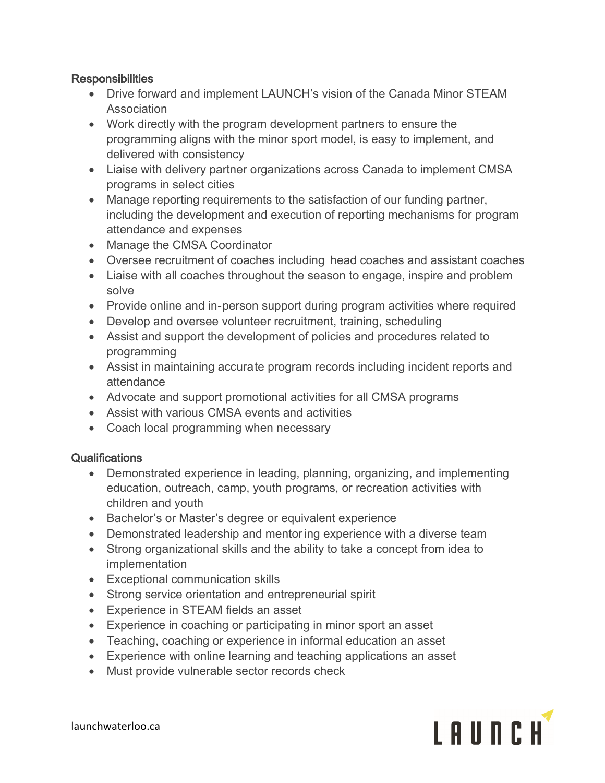## **Responsibilities**

- Drive forward and implement LAUNCH's vision of the Canada Minor STEAM **Association**
- Work directly with the program development partners to ensure the programming aligns with the minor sport model, is easy to implement, and delivered with consistency
- Liaise with delivery partner organizations across Canada to implement CMSA programs in select cities
- Manage reporting requirements to the satisfaction of our funding partner, including the development and execution of reporting mechanisms for program attendance and expenses
- Manage the CMSA Coordinator
- Oversee recruitment of coaches including head coaches and assistant coaches
- Liaise with all coaches throughout the season to engage, inspire and problem solve
- Provide online and in-person support during program activities where required
- Develop and oversee volunteer recruitment, training, scheduling
- Assist and support the development of policies and procedures related to programming
- Assist in maintaining accurate program records including incident reports and attendance
- Advocate and support promotional activities for all CMSA programs
- Assist with various CMSA events and activities
- Coach local programming when necessary

## Qualifications

- Demonstrated experience in leading, planning, organizing, and implementing education, outreach, camp, youth programs, or recreation activities with children and youth
- Bachelor's or Master's degree or equivalent experience
- Demonstrated leadership and mentor ing experience with a diverse team
- Strong organizational skills and the ability to take a concept from idea to implementation
- Exceptional communication skills
- Strong service orientation and entrepreneurial spirit
- Experience in STEAM fields an asset
- Experience in coaching or participating in minor sport an asset
- Teaching, coaching or experience in informal education an asset
- Experience with online learning and teaching applications an asset
- Must provide vulnerable sector records check



launchwaterloo.ca